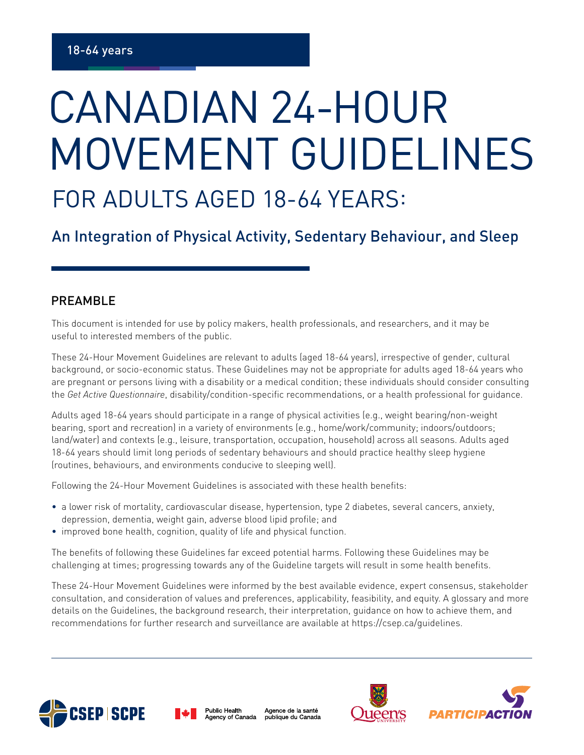## FOR ADULTS AGED 18-64 YEARS: CANADIAN 24-HOUR MOVEMENT GUIDELINES

An Integration of Physical Activity, Sedentary Behaviour, and Sleep

## PREAMBLE

This document is intended for use by policy makers, health professionals, and researchers, and it may be useful to interested members of the public.

These 24-Hour Movement Guidelines are relevant to adults (aged 18-64 years), irrespective of gender, cultural background, or socio-economic status. These Guidelines may not be appropriate for adults aged 18-64 years who are pregnant or persons living with a disability or a medical condition; these individuals should consider consulting the *Get Active Questionnaire*, disability/condition-specific recommendations, or a health professional for guidance.

Adults aged 18-64 years should participate in a range of physical activities (e.g., weight bearing/non-weight bearing, sport and recreation) in a variety of environments (e.g., home/work/community; indoors/outdoors; land/water) and contexts (e.g., leisure, transportation, occupation, household) across all seasons. Adults aged 18-64 years should limit long periods of sedentary behaviours and should practice healthy sleep hygiene (routines, behaviours, and environments conducive to sleeping well).

Following the 24-Hour Movement Guidelines is associated with these health benefits:

- a lower risk of mortality, cardiovascular disease, hypertension, type 2 diabetes, several cancers, anxiety, depression, dementia, weight gain, adverse blood lipid profile; and
- improved bone health, cognition, quality of life and physical function.

The benefits of following these Guidelines far exceed potential harms. Following these Guidelines may be challenging at times; progressing towards any of the Guideline targets will result in some health benefits.

These 24-Hour Movement Guidelines were informed by the best available evidence, expert consensus, stakeholder consultation, and consideration of values and preferences, applicability, feasibility, and equity. A glossary and more details on the Guidelines, the background research, their interpretation, guidance on how to achieve them, and recommendations for further research and surveillance are available at https://csep.ca/guidelines.





Agence de la santé Agency of Canada publique du Canada